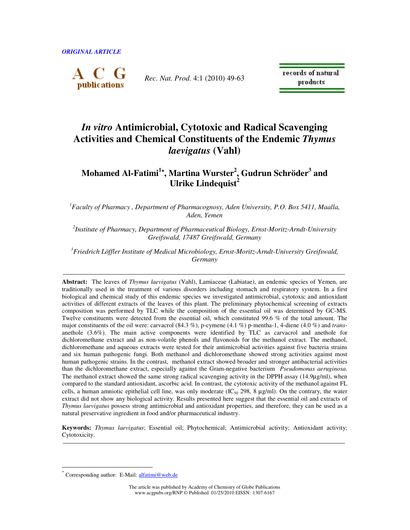*ORIGINAL ARTICLE* 



*Rec. Nat. Prod*. 4:1 (2010) 49-63

records of natural products

# *In vitro* **Antimicrobial, Cytotoxic and Radical Scavenging Activities and Chemical Constituents of the Endemic** *Thymus laevigatus* **(Vahl)**

# **Mohamed Al-Fatimi<sup>1</sup>**\***, Martina Wurster<sup>2</sup> , Gudrun Schröder<sup>3</sup> and Ulrike Lindequist<sup>2</sup>**

*1 Faculty of Pharmacy , Department of Pharmacognosy, Aden University, P.O. Box 5411, Maalla, Aden, Yemen* 

*2 Institute of Pharmacy, Department of Pharmaceutical Biology, Ernst-Moritz-Arndt-University Greifswald, 17487 Greifswald, Germany* 

*<sup>3</sup>Friedrich Löffler Institute of Medical Microbiology, Ernst-Moritz-Arndt-University Greifswald, Germany*

**Abstract:** The leaves of *Thymus laevigatus* (Vahl), Lamiaceae (Labiatae), an endemic species of Yemen, are traditionally used in the treatment of various disorders including stomach and respiratory system. In a first biological and chemical study of this endemic species we investigated antimicrobial, cytotoxic and antioxidant activities of different extracts of the leaves of this plant. The preliminary phytochemical screening of extracts composition was performed by TLC while the composition of the essential oil was determined by GC-MS. Twelve constituents were detected from the essential oil, which constituted 99.6 % of the total amount. The major constituents of the oil were: carvacrol (84.3 %), p-cymene (4.1 %) p-mentha-1, 4-diene (4.0 %) and *trans*anethole (3.6%). The main active components were identified by TLC as carvacrol and anethole for dichloromethane extract and as non-volatile phenols and flavonoids for the methanol extract. The methanol, dichloromethane and aqueous extracts were tested for their antimicrobial activities against five bacteria strains and six human pathogenic fungi. Both methanol and dichloromethane showed strong activities against most human pathogenic strains. In the contrast, methanol extract showed broader and stronger antibacterial activities than the dichloromethane extract, especially against the Gram-negative bacterium *Pseudomonas aeruginosa*. The methanol extract showed the same strong radical scavenging activity in the DPPH assay (14.9µg/ml), when compared to the standard antioxidant, ascorbic acid. In contrast, the cytotoxic activity of the methanol against FL cells, a human amniotic epithelial cell line, was only moderate  $(IC_{50} 298, 8 \mu g/ml)$ . On the contrary, the water extract did not show any biological activity. Results presented here suggest that the essential oil and extracts of *Thymus laevigatus* possess strong antimicrobial and antioxidant properties, and therefore, they can be used as a natural preservative ingredient in food and/or pharmaceutical industry.

**Keywords:** *Thymus laevigatus*; Essential oil; Phytochemical; Antimicrobial activity; Antioxidant activity; Cytotoxicity.

 $\overline{a}$ 

The article was published by Academy of Chemistry of Globe Publications www.acgpubs.org/RNP © Published 01/25/2010 EISSN: 1307-6167

<sup>\*</sup> Corresponding author: E-Mail: alfatimi@web.de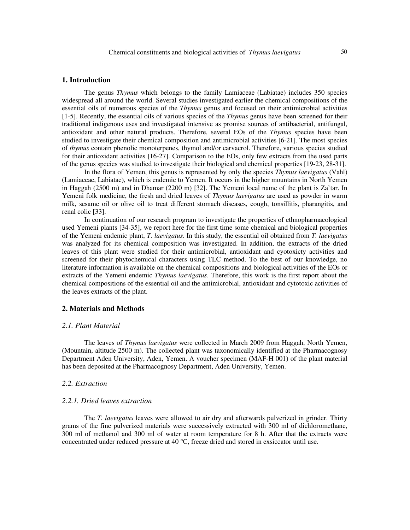#### **1. Introduction**

The genus *Thymus* which belongs to the family Lamiaceae (Labiatae) includes 350 species widespread all around the world. Several studies investigated earlier the chemical compositions of the essential oils of numerous species of the *Thymus* genus and focused on their antimicrobial activities [1-5]. Recently, the essential oils of various species of the *Thymus* genus have been screened for their traditional indigenous uses and investigated intensive as promise sources of antibacterial, antifungal, antioxidant and other natural products. Therefore, several EOs of the *Thymus* species have been studied to investigate their chemical composition and antimicrobial activities [6-21]. The most species of *thymus* contain phenolic monoterpenes, thymol and/or carvacrol. Therefore, various species studied for their antioxidant activities [16-27]. Comparison to the EOs, only few extracts from the used parts of the genus species was studied to investigate their biological and chemical properties [19-23, 28-31].

In the flora of Yemen, this genus is represented by only the species *Thymus laevigatus* (Vahl) (Lamiaceae, Labiatae), which is endemic to Yemen. It occurs in the higher mountains in North Yemen in Haggah (2500 m) and in Dhamar (2200 m) [32]. The Yemeni local name of the plant is Za'tar. In Yemeni folk medicine, the fresh and dried leaves of *Thymus laevigatus* are used as powder in warm milk, sesame oil or olive oil to treat different stomach diseases, cough, tonsillitis, pharangitis, and renal colic [33].

In continuation of our research program to investigate the properties of ethnopharmacological used Yemeni plants [34-35], we report here for the first time some chemical and biological properties of the Yemeni endemic plant, *T. laevigatus*. In this study, the essential oil obtained from *T. laevigatus* was analyzed for its chemical composition was investigated. In addition, the extracts of the dried leaves of this plant were studied for their antimicrobial, antioxidant and cyotoxicty activities and screened for their phytochemical characters using TLC method. To the best of our knowledge, no literature information is available on the chemical compositions and biological activities of the EOs or extracts of the Yemeni endemic *Thymus laevigatus*. Therefore, this work is the first report about the chemical compositions of the essential oil and the antimicrobial, antioxidant and cytotoxic activities of the leaves extracts of the plant.

#### **2. Materials and Methods**

#### *2.1. Plant Material*

The leaves of *Thymus laevigatus* were collected in March 2009 from Haggah, North Yemen, (Mountain, altitude 2500 m). The collected plant was taxonomically identified at the Pharmacognosy Department Aden University, Aden, Yemen. A voucher specimen (MAF-H 001) of the plant material has been deposited at the Pharmacognosy Department, Aden University, Yemen.

#### *2.2. Extraction*

#### *2.2.1. Dried leaves extraction*

The *T. laevigatus* leaves were allowed to air dry and afterwards pulverized in grinder. Thirty grams of the fine pulverized materials were successively extracted with 300 ml of dichloromethane, 300 ml of methanol and 300 ml of water at room temperature for 8 h. After that the extracts were concentrated under reduced pressure at 40 °C, freeze dried and stored in exsiccator until use.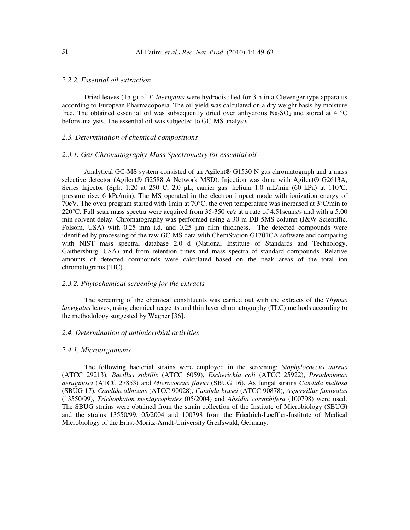# *2.2.2. Essential oil extraction*

Dried leaves (15 g) of *T. laevigatus* were hydrodistilled for 3 h in a Clevenger type apparatus according to European Pharmacopoeia. The oil yield was calculated on a dry weight basis by moisture free. The obtained essential oil was subsequently dried over anhydrous  $Na_2SO_4$  and stored at 4 °C before analysis. The essential oil was subjected to GC-MS analysis.

# *2.3. Determination of chemical compositions*

#### *2.3.1. Gas Chromatography-Mass Spectrometry for essential oil*

Analytical GC-MS system consisted of an Agilent® G1530 N gas chromatograph and a mass selective detector (Agilent® G2588 A Network MSD). Injection was done with Agilent® G2613A, Series Injector (Split 1:20 at 250 C, 2.0 µL; carrier gas: helium 1.0 mL/min (60 kPa) at 110°C; pressure rise: 6 kPa/min). The MS operated in the electron impact mode with ionization energy of 70eV. The oven program started with 1min at 70°C, the oven temperature was increased at 3°C/min to 220°C. Full scan mass spectra were acquired from 35-350 *m/z* at a rate of 4.51scans/s and with a 5.00 min solvent delay. Chromatography was performed using a 30 m DB-5MS column (J&W Scientific, Folsom, USA) with 0.25 mm i.d. and 0.25 µm film thickness. The detected compounds were identified by processing of the raw GC-MS data with ChemStation G1701CA software and comparing with NIST mass spectral database 2.0 d (National Institute of Standards and Technology, Gaithersburg, USA) and from retention times and mass spectra of standard compounds. Relative amounts of detected compounds were calculated based on the peak areas of the total ion chromatograms (TIC).

#### *2.3.2. Phytochemical screening for the extracts*

The screening of the chemical constituents was carried out with the extracts of the *Thymus laevigatus* leaves, using chemical reagents and thin layer chromatography (TLC) methods according to the methodology suggested by Wagner [36].

#### *2.4. Determination of antimicrobial activities*

#### *2.4.1. Microorganisms*

The following bacterial strains were employed in the screening: *Staphylococcus aureus*  (ATCC 29213), *Bacillus subtilis* (ATCC 6059), *Escherichia coli* (ATCC 25922), *Pseudomonas aeruginosa* (ATCC 27853) and *Micrococcus flavus* (SBUG 16). As fungal strains *Candida maltosa*  (SBUG 17), *Candida albicans* (ATCC 90028), *Candida krusei* (ATCC 90878), *Aspergillus fumigatus*  (13550/99), *Trichophyton mentagrophytes* (05/2004) and *Absidia corymbifera* (100798) were used. The SBUG strains were obtained from the strain collection of the Institute of Microbiology (SBUG) and the strains 13550/99, 05/2004 and 100798 from the Friedrich-Loeffler-Institute of Medical Microbiology of the Ernst-Moritz-Arndt-University Greifswald, Germany.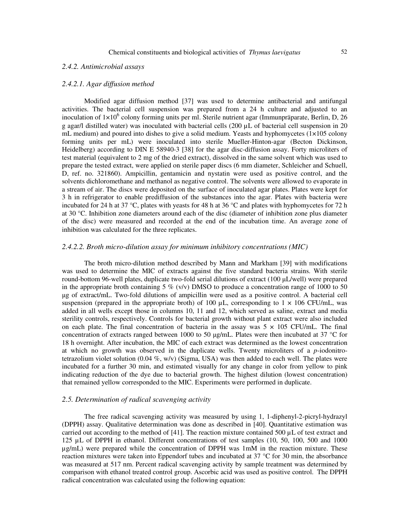# *2.4.2. Antimicrobial assays*

#### *2.4.2.1. Agar diffusion method*

Modified agar diffusion method [37] was used to determine antibacterial and antifungal activities. The bacterial cell suspension was prepared from a 24 h culture and adjusted to an inoculation of  $1 \times 10^6$  colony forming units per ml. Sterile nutrient agar (Immunpräparate, Berlin, D, 26 g agar/l distilled water) was inoculated with bacterial cells (200 µL of bacterial cell suspension in 20 mL medium) and poured into dishes to give a solid medium. Yeasts and hyphomycetes  $(1\times105 \text{ colony})$ forming units per mL) were inoculated into sterile Mueller-Hinton-agar (Becton Dickinson, Heidelberg) according to DIN E 58940-3 [38] for the agar disc-diffusion assay. Forty microliters of test material (equivalent to 2 mg of the dried extract), dissolved in the same solvent which was used to prepare the tested extract, were applied on sterile paper discs (6 mm diameter, Schleicher and Schuell, D, ref. no. 321860). Ampicillin, gentamicin and nystatin were used as positive control, and the solvents dichloromethane and methanol as negative control. The solvents were allowed to evaporate in a stream of air. The discs were deposited on the surface of inoculated agar plates. Plates were kept for 3 h in refrigerator to enable prediffusion of the substances into the agar. Plates with bacteria were incubated for 24 h at 37 °C, plates with yeasts for 48 h at 36 °C and plates with hyphomycetes for 72 h at 30 °C. Inhibition zone diameters around each of the disc (diameter of inhibition zone plus diameter of the disc) were measured and recorded at the end of the incubation time. An average zone of inhibition was calculated for the three replicates.

# *2.4.2.2. Broth micro-dilution assay for minimum inhibitory concentrations (MIC)*

The broth micro-dilution method described by Mann and Markham [39] with modifications was used to determine the MIC of extracts against the five standard bacteria strains. With sterile round-bottom 96-well plates, duplicate two-fold serial dilutions of extract (100 µL/well) were prepared in the appropriate broth containing 5 % (v/v) DMSO to produce a concentration range of 1000 to 50 µg of extract/mL. Two-fold dilutions of ampicillin were used as a positive control. A bacterial cell suspension (prepared in the appropriate broth) of 100  $\mu$ L, corresponding to 1  $\times$  106 CFU/mL, was added in all wells except those in columns 10, 11 and 12, which served as saline, extract and media sterility controls, respectively. Controls for bacterial growth without plant extract were also included on each plate. The final concentration of bacteria in the assay was  $5 \times 105$  CFU/mL. The final concentration of extracts ranged between 1000 to 50 µg/mL. Plates were then incubated at 37 °C for 18 h overnight. After incubation, the MIC of each extract was determined as the lowest concentration at which no growth was observed in the duplicate wells. Twenty microliters of a *p*-iodonitrotetrazolium violet solution  $(0.04 \%, w/v)$  (Sigma, USA) was then added to each well. The plates were incubated for a further 30 min, and estimated visually for any change in color from yellow to pink indicating reduction of the dye due to bacterial growth. The highest dilution (lowest concentration) that remained yellow corresponded to the MIC. Experiments were performed in duplicate.

# *2.5. Determination of radical scavenging activity*

The free radical scavenging activity was measured by using 1, 1-diphenyl-2-picryl-hydrazyl (DPPH) assay. Qualitative determination was done as described in [40]. Quantitative estimation was carried out according to the method of [41]. The reaction mixture contained 500  $\mu$ L of test extract and 125 µL of DPPH in ethanol. Different concentrations of test samples (10, 50, 100, 500 and 1000 µg/mL) were prepared while the concentration of DPPH was 1mM in the reaction mixture. These reaction mixtures were taken into Eppendorf tubes and incubated at 37 °C for 30 min, the absorbance was measured at 517 nm. Percent radical scavenging activity by sample treatment was determined by comparison with ethanol treated control group. Ascorbic acid was used as positive control. The DPPH radical concentration was calculated using the following equation: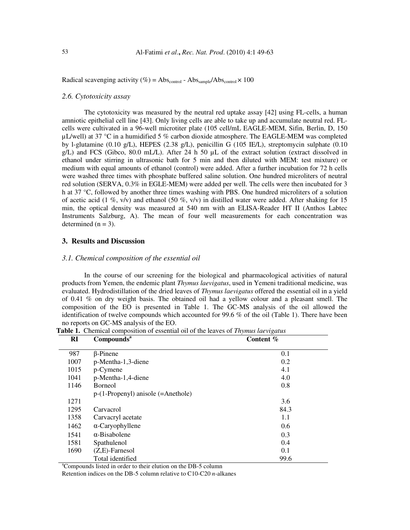Radical scavenging activity (%) =  $\text{Abs}_{\text{control}}$  -  $\text{Abs}_{\text{sample}}/\text{Abs}_{\text{control}} \times 100$ 

# *2.6. Cytotoxicity assay*

The cytotoxicity was measured by the neutral red uptake assay [42] using FL-cells, a human amniotic epithelial cell line [43]. Only living cells are able to take up and accumulate neutral red. FLcells were cultivated in a 96-well microtiter plate (105 cell/mL EAGLE-MEM, Sifin, Berlin, D, 150  $\mu$ L/well) at 37 °C in a humidified 5 % carbon dioxide atmosphere. The EAGLE-MEM was completed by l-glutamine (0.10 g/L), HEPES (2.38 g/L), penicillin G (105 IE/L), streptomycin sulphate (0.10 g/L) and FCS (Gibco, 80.0 mL/L). After 24 h 50 µL of the extract solution (extract dissolved in ethanol under stirring in ultrasonic bath for 5 min and then diluted with MEM: test mixture) or medium with equal amounts of ethanol (control) were added. After a further incubation for 72 h cells were washed three times with phosphate buffered saline solution. One hundred microliters of neutral red solution (SERVA, 0.3% in EGLE-MEM) were added per well. The cells were then incubated for 3 h at 37 °C, followed by another three times washing with PBS. One hundred microliters of a solution of acetic acid (1 %, v/v) and ethanol (50 %, v/v) in distilled water were added. After shaking for 15 min, the optical density was measured at 540 nm with an ELISA-Reader HT II (Anthos Labtec Instruments Salzburg, A). The mean of four well measurements for each concentration was determined  $(n = 3)$ .

# **3. Results and Discussion**

#### *3.1. Chemical composition of the essential oil*

In the course of our screening for the biological and pharmacological activities of natural products from Yemen, the endemic plant *Thymus laevigatus*, used in Yemeni traditional medicine, was evaluated. Hydrodistillation of the dried leaves of *Thymus laevigatus* offered the essential oil in a yield of 0.41 % on dry weight basis. The obtained oil had a yellow colour and a pleasant smell. The composition of the EO is presented in Table 1. The GC-MS analysis of the oil allowed the identification of twelve compounds which accounted for 99.6 % of the oil (Table 1). There have been no reports on GC-MS analysis of the EO.

| RI   | Compounds <sup>a</sup>               | Content $%$ |  |  |
|------|--------------------------------------|-------------|--|--|
| 987  | $\beta$ -Pinene                      | 0.1         |  |  |
| 1007 | p-Mentha-1,3-diene                   | 0.2         |  |  |
| 1015 | p-Cymene                             | 4.1         |  |  |
| 1041 | p-Mentha-1,4-diene                   | 4.0         |  |  |
| 1146 | <b>Borneol</b>                       | 0.8         |  |  |
|      | $p-(1-Propenyl)$ anisole (=Anethole) |             |  |  |
| 1271 |                                      | 3.6         |  |  |
| 1295 | Carvacrol                            | 84.3        |  |  |
| 1358 | Carvacryl acetate                    | 1.1         |  |  |
| 1462 | $\alpha$ -Caryophyllene              | 0.6         |  |  |
| 1541 | $\alpha$ -Bisabolene                 | 0.3         |  |  |
| 1581 | Spathulenol                          | 0.4         |  |  |
| 1690 | $(Z,E)$ -Farnesol                    | 0.1         |  |  |
|      | Total identified                     | 99.6        |  |  |

**Table 1.** Chemical composition of essential oil of the leaves of *Thymus laevigatus*

<sup>a</sup>Compounds listed in order to their elution on the DB-5 column

Retention indices on the DB-5 column relative to C10-C20 *n*-alkanes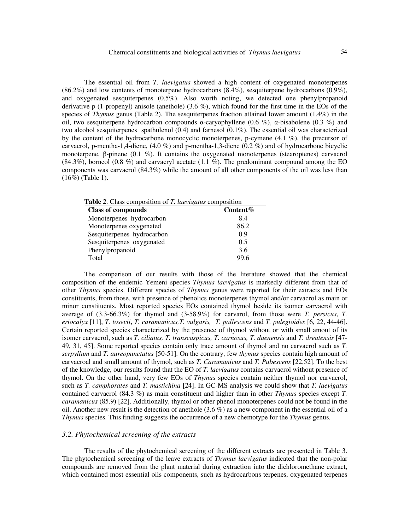The essential oil from *T. laevigatus* showed a high content of oxygenated monoterpenes (86.2%) and low contents of monoterpene hydrocarbons (8.4%), sesquiterpene hydrocarbons (0.9%), and oxygenated sesquiterpenes (0.5%). Also worth noting, we detected one phenylpropanoid derivative p-(1-propenyl) anisole (anethole) (3.6 %), which found for the first time in the EOs of the species of *Thymus* genus (Table 2). The sesquiterpenes fraction attained lower amount (1.4%) in the oil, two sesquiterpene hydrocarbon compounds α-caryophyllene (0.6 %), α-bisabolene (0.3 %) and two alcohol sesquiterpenes spathulenol (0.4) and farnesol (0.1%). The essential oil was characterized by the content of the hydrocarbone monocyclic monoterpenes, p-cymene (4.1 %), the precursor of carvacrol, p-mentha-1,4-diene, (4.0 %) and p-mentha-1,3-diene (0.2 %) and of hydrocarbone bicyclic monoterpene, β-pinene (0.1 %). It contains the oxygenated monoterpenes (stearoptenes) carvacrol (84.3%), borneol (0.8 %) and carvacryl acetate (1.1 %). The predominant compound among the EO components was carvacrol (84.3%) while the amount of all other components of the oil was less than (16%) (Table 1).

**Table 2**. Class composition of *T. laevigatus* composition

| <b>Class of compounds</b>  | Content $%$ |
|----------------------------|-------------|
| Monoterpenes hydrocarbon   | 8.4         |
| Monoterpenes oxygenated    | 86.2        |
| Sesquiterpenes hydrocarbon | 0.9         |
| Sesquiterpenes oxygenated  | 0.5         |
| Phenylpropanoid            | 3.6         |
| Total                      | 99.6        |

The comparison of our results with those of the literature showed that the chemical composition of the endemic Yemeni species *Thymus laevigatus* is markedly different from that of other *Thymus* species. Different species of *Thymus* genus were reported for their extracts and EOs constituents, from those, with presence of phenolics monoterpenes thymol and/or carvacrol as main or minor constituents. Most reported species EOs contained thymol beside its isomer carvacrol with average of (3.3-66.3%) for thymol and (3-58.9%) for carvarol, from those were *T. persicus*, *T. eriocalyx* [11], *T. tosevii*, *T. caramanicus,T. vulgaris, T. pallescens* and *T. pulegioides* [6, 22, 44-46]. Certain reported species characterized by the presence of thymol without or with small amout of its isomer carvacrol, such as *T. ciliatus, T. transcaspicus, T. carnosus, T. daenensis* and *T. dreatensis* [47- 49, 31, 45]. Some reported species contain only trace amount of thymol and no carvacrol such as *T. serpyllum* and *T. aureopunctatus* [50-51]. On the contrary, few *thymus* species contain high amount of carvacroal and small amount of thymol, such as *T. Caramanicus* and *T. Pubescens* [22,52]. To the best of the knowledge, our results found that the EO of *T. laevigatus* contains carvacrol without presence of thymol. On the other hand, very few EOs of *Thymus* species contain neither thymol nor carvacrol, such as *T. camphorates* and *T. mastichina* [24]. In GC-MS analysis we could show that *T. laevigatus*  contained carvacrol (84.3 %) as main constituent and higher than in other *Thymus* species except *T. caramanicus* (85.9) [22]. Additionally, thymol or other phenol monoterpenes could not be found in the oil. Another new result is the detection of anethole (3.6 %) as a new component in the essential oil of a *Thymus* species. This finding suggests the occurrence of a new chemotype for the *Thymus* genus.

### *3.2. Phytochemical screening of the extracts*

The results of the phytochemical screening of the different extracts are presented in Table 3. The phytochemical screening of the leave extracts of *Thymus laevigatus* indicated that the non-polar compounds are removed from the plant material during extraction into the dichloromethane extract, which contained most essential oils components, such as hydrocarbons terpenes, oxygenated terpenes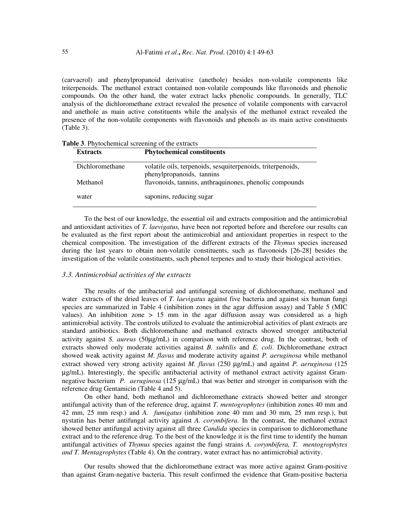(carvacrol) and phenylpropanoid derivative (anethole) besides non-volatile components like triterpenoids. The methanol extract contained non-volatile compounds like flavonoids and phenolic compounds. On the other hand, the water extract lacks phenolic compounds. In generally, TLC analysis of the dichloromethane extract revealed the presence of volatile components with carvacrol and anethole as main active constituents while the analysis of the methanol extract revealed the presence of the non-volatile components with flavonoids and phenols as its main active constituents (Table 3).

| <b>Extracts</b> | <b>Phytochemical constituents</b>                                                        |
|-----------------|------------------------------------------------------------------------------------------|
| Dichloromethane | volatile oils, terpenoids, sesquiterpenoids, triterpenoids,<br>phenylpropanoids, tannins |
| Methanol        | flavonoids, tannins, anthraquinones, phenolic compounds                                  |
| water           | saponins, reducing sugar                                                                 |

**Table 3**. Phytochemical screening of the extracts

To the best of our knowledge, the essential oil and extracts composition and the antimicrobial and antioxidant activities of *T. laevigatus,* have been not reported before and therefore our results can be evaluated as the first report about the antimicrobial and antioxidant properties in respect to the chemical composition. The investigation of the different extracts of the *Thymus* species increased during the last years to obtain non-volatile constituents, such as flavonoids [26-28] besides the investigation of the volatile constituents, such phenol terpenes and to study their biological activities.

# *3.3. Antimicrobial activities of the extracts*

The results of the antibacterial and antifungal screening of dichloromethane, methanol and water extracts of the dried leaves of *T. laevigatus* against five bacteria and against six human fungi species are summarized in Table 4 (inhibition zones in the agar diffusion assay) and Table 5 (MIC values). An inhibition zone  $> 15$  mm in the agar diffusion assay was considered as a high antimicrobial activity. The controls utilized to evaluate the antimicrobial activities of plant extracts are standard antibiotics. Both dichloromethane and methanol extracts showed stronger antibacterial activity against *S. aureus* (50µg/mL) in comparison with reference drug. In the contrast, both of extracts showed only moderate activities against *B. subtilis* and *E. coli*. Dichloromethane extract showed weak activity against *M. flavus* and moderate activity against *P. aeruginosa* while methanol extract showed very strong activity against *M. flavus* (250 µg/mL) and against *P. aeruginosa* (125 µg/mL). Interestingly, the specific antibacterial activity of methanol extract activity against Gramnegative bacterium *P. aeruginosa* (125 µg/mL) that was better and stronger in comparison with the reference drug Gentamicin (Table 4 and 5).

On other hand, both methanol and dichloromethane extracts showed better and stronger antifungal activity than of the reference drug, against *T. mentogrophytes* (inhibition zones 40 mm and 42 mm, 25 mm resp.) and *A. fumigatus* (inhibition zone 40 mm and 30 mm, 25 mm resp.), but nystatin has better antifungal activity against *A. corymbifera*. In the contrast, the methanol extract showed better antifungal activity against all three *Candida* species in comparison to dichloromethane extract and to the reference drug. To the best of the knowledge it is the first time to identify the human antifungal activities of *Thymus* species against the fungi strains *A. corymbifera, T. mentogrophytes and T. Mentagrophytes* (Table 4). On the contrary, water extract has no antimicrobial activity.

Our results showed that the dichloromethane extract was more active against Gram-positive than against Gram-negative bacteria. This result confirmed the evidence that Gram-positive bacteria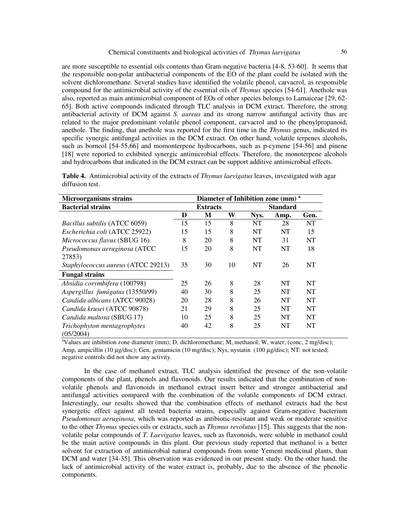are more susceptible to essential oils contents than Gram-negative bacteria [4-8, 53-60]. It seems that the responsible non-polar antibacterial components of the EO of the plant could be isolated with the solvent dichloromethane. Several studies have identified the volatile phenol, carvacrol, as responsible compound for the antimicrobial activity of the essential oils of *Thymus* species [54-61]. Anethole was also, reported as main antimicrobial component of EOs of other species belongs to Lamaiceae [29, 62- 65]. Both active compounds indicated through TLC analysis in DCM extract. Therefore, the strong antibacterial activity of DCM against *S. aureus* and its strong narrow antifungal activity thus are related to the major predominant volatile phenol component, carvacrol and to the phenylpropanoid, anethole. The finding, that anethole was reported for the first time in the *Thymus* genus, indicated its specific synergic antifungal activities in the DCM extract. On other hand, volatile terpenes alcohols, such as borneol [54-55,66] and momonterpene hydrocarbons, such as p-cymene [54-56] and pinene [18] were reported to exhibited synergic antimicrobial effects. Therefore, the monoterpene alcohols and hydrocarbons that indicated in the DCM extract can be support additive antimicrobial effects.

|                 | <b>Table 4.</b> Antimicrobial activity of the extracts of <i>Thymus laevigatus</i> leaves, investigated with agar |  |  |  |  |
|-----------------|-------------------------------------------------------------------------------------------------------------------|--|--|--|--|
| diffusion test. |                                                                                                                   |  |  |  |  |

| <b>Microorganisms strains</b>            |    | Diameter of Inhibition zone (mm) <sup>a</sup> |    |           |                 |           |  |
|------------------------------------------|----|-----------------------------------------------|----|-----------|-----------------|-----------|--|
| <b>Bacterial strains</b>                 |    | <b>Extracts</b>                               |    |           | <b>Standard</b> |           |  |
|                                          | D  | M                                             | W  | Nys.      | Amp.            | Gen.      |  |
| <i>Bacillus subtilis</i> (ATCC 6059)     | 15 | 15                                            | 8  | NT        | 28              | NT        |  |
| Escherichia coli (ATCC 25922)            | 15 | 15                                            | 8  | NT        | NT              | 15        |  |
| Micrococcus flavus (SBUG 16)             | 8  | 20                                            | 8  | <b>NT</b> | 31              | NT        |  |
| Pseudomonas aeruginosa (ATCC             | 15 | 20                                            | 8  | <b>NT</b> | NT              | 18        |  |
| 27853)                                   |    |                                               |    |           |                 |           |  |
| Staphylococcus aureus (ATCC 29213)       | 35 | 30                                            | 10 | NT        | 26              | NT        |  |
| <b>Fungal strains</b>                    |    |                                               |    |           |                 |           |  |
| Absidia corymbifera (100798)             | 25 | 26                                            | 8  | 28        | NT              | NT        |  |
| Aspergillus fumigatus (13550/99)         | 40 | 30                                            | 8  | 25        | NT              | <b>NT</b> |  |
| Candida albicans (ATCC 90028)            | 20 | 28                                            | 8  | 26        | NT              | NT        |  |
| Candida krusei (ATCC 90878)              | 21 | 29                                            | 8  | 25        | <b>NT</b>       | NT        |  |
| Candida maltosa (SBUG 17)                | 10 | 25                                            | 8  | 25        | <b>NT</b>       | <b>NT</b> |  |
| Trichophyton mentagrophytes<br>(05/2004) | 40 | 42                                            | 8  | 25        | NT              | NT        |  |

<sup>a</sup>Values are inhibition zone diameter (mm); D, dichloromethane; M, methanol; W, water; (conc, 2 mg/disc); Amp, ampicillin (10 µg/disc); Gen, gentamicin (10 mg/disc); Nys, nystatin (100 µg/disc); NT: not tested; negative controls did not show any activity.

In the case of methanol extract, TLC analysis identified the presence of the non-volatile components of the plant, phenols and flavonoids. Our results indicated that the combination of nonvolatile phenols and flavonoids in methanol extract insert better and stronger antibacterial and antifungal activities compared with the combination of the volatile components of DCM extract. Interestingly, our results showed that the combination effects of methanol extracts had the best synergetic effect against all tested bacteria strains, especially against Gram-negative bacterium *Pseudomonas aeruginosa*, which was reported as antibiotic-resistant and weak or moderate sensitive to the other *Thymus* species oils or extracts, such as *Thymus revolutus* [15]. This suggests that the nonvolatile polar compounds of *T. Laevigatus* leaves, such as flavonoids, were soluble in methanol could be the main active compounds in this plant. Our previous study reported that methanol is a better solvent for extraction of antimicrobial natural compounds from some Yemeni medicinal plants, than DCM and water [34-35]. This observation was evidenced in our present study. On the other hand, the lack of antimicrobial activity of the water extract is, probably, due to the absence of the phenolic components.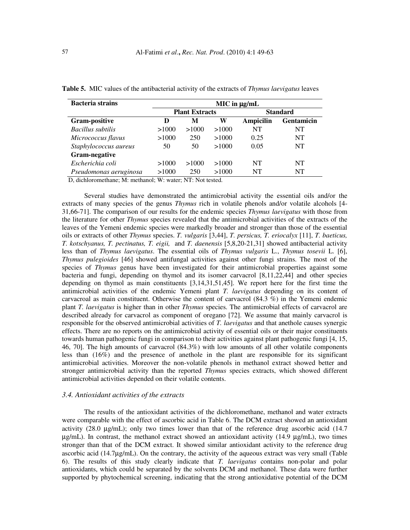| <b>Bacteria strains</b> | $MIC$ in $\mu g/mL$   |       |       |                  |            |  |
|-------------------------|-----------------------|-------|-------|------------------|------------|--|
|                         | <b>Plant Extracts</b> |       |       | <b>Standard</b>  |            |  |
| Gram-positive           | D                     | М     | W     | <b>Ampicilin</b> | Gentamicin |  |
| Bacillus subtilis       | >1000                 | >1000 | >1000 | NT               | NT         |  |
| Micrococcus flavus      | >1000                 | 250   | >1000 | 0.25             | NT         |  |
| Staphylococcus aureus   | 50                    | 50    | >1000 | 0.05             | NT         |  |
| Gram-negative           |                       |       |       |                  |            |  |
| Escherichia coli        | >1000                 | >1000 | >1000 | NT               | NT         |  |
| Pseudomonas aeruginosa  | >1000                 | 250   | >1000 | NT               | NT         |  |

**Table 5.** MIC values of the antibacterial activity of the extracts of *Thymus laevigatus* leaves

D, dichloromethane; M: methanol; W: water; NT: Not tested.

Several studies have demonstrated the antimicrobial activity the essential oils and/or the extracts of many species of the genus *Thymus* rich in volatile phenols and/or volatile alcohols [4- 31,66-71]. The comparison of our results for the endemic species *Thymus laevigatus* with those from the literature for other *Thymus* species revealed that the antimicrobial activities of the extracts of the leaves of the Yemeni endemic species were markedly broader and stronger than those of the essential oils or extracts of other *Thymus* species. *T. vulgaris* [3,44], *T. persicus, T. eriocalyx* [11], *T. baeticus, T. kotschyanus, T. pectinatus, T. eigii,* and *T. daenensis* [5,8,20-21,31] showed antibacterial activity less than of *Thymus laevigatus*. The essential oils of *Thymus vulgaris* L., *Thymus tosevii* L. [6], *Thymus pulegioides* [46] showed antifungal activities against other fungi strains. The most of the species of *Thymus* genus have been investigated for their antimicrobial properties against some bacteria and fungi, depending on thymol and its isomer carvacrol [8,11,22,44] and other species depending on thymol as main constituents [3,14,31,51,45]. We report here for the first time the antimicrobial activities of the endemic Yemeni plant *T. laevigatus* depending on its content of carvacroal as main constituent. Otherwise the content of carvacrol (84.3 %) in the Yemeni endemic plant *T. laevigatus* is higher than in other *Thymus* species. The antimicrobial effects of carvacrol are described already for carvacrol as component of oregano [72]. We assume that mainly carvacrol is responsible for the observed antimicrobial activities of *T. laevigatus* and that anethole causes synergic effects. There are no reports on the antimicrobial activity of essential oils or their major constituents towards human pathogenic fungi in comparison to their activities against plant pathogenic fungi [4, 15, 46, 70]. The high amounts of carvacrol (84.3%) with low amounts of all other volatile components less than (16%) and the presence of anethole in the plant are responsible for its significant antimicrobial activities. Moreover the non-volatile phenols in methanol extract showed better and stronger antimicrobial activity than the reported *Thymus* species extracts, which showed different antimicrobial activities depended on their volatile contents.

## *3.4. Antioxidant activities of the extracts*

The results of the antioxidant activities of the dichloromethane, methanol and water extracts were comparable with the effect of ascorbic acid in Table 6. The DCM extract showed an antioxidant activity (28.0 µg/mL); only two times lower than that of the reference drug ascorbic acid (14.7  $\mu$ g/mL). In contrast, the methanol extract showed an antioxidant activity (14.9  $\mu$ g/mL), two times stronger than that of the DCM extract. It showed similar antioxidant activity to the reference drug ascorbic acid (14.7µg/mL). On the contrary, the activity of the aqueous extract was very small (Table 6). The results of this study clearly indicate that *T. laevigatus* contains non-polar and polar antioxidants, which could be separated by the solvents DCM and methanol. These data were further supported by phytochemical screening, indicating that the strong antioxidative potential of the DCM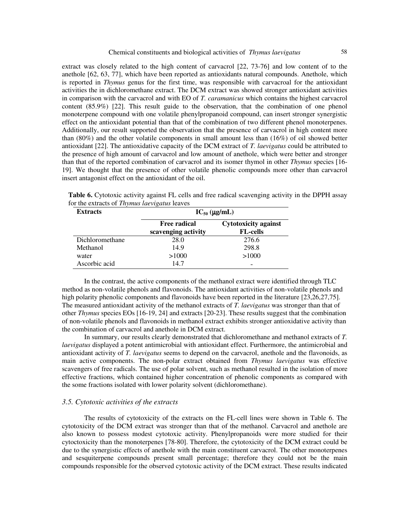extract was closely related to the high content of carvacrol [22, 73-76] and low content of to the anethole [62, 63, 77], which have been reported as antioxidants natural compounds. Anethole, which is reported in *Thymus* genus for the first time, was responsible with carvacroal for the antioxidant activities the in dichloromethane extract. The DCM extract was showed stronger antioxidant activities in comparison with the carvacrol and with EO of *T. caramanicus* which contains the highest carvacrol content (85.9%) [22]. This result guide to the observation, that the combination of one phenol monoterpene compound with one volatile phenylpropanoid compound, can insert stronger synergistic effect on the antioxidant potential than that of the combination of two different phenol monoterpenes. Additionally, our result supported the observation that the presence of carvacrol in high content more than (80%) and the other volatile components in small amount less than (16%) of oil showed better antioxidant [22]. The antioxidative capacity of the DCM extract of *T. laevigatus* could be attributed to the presence of high amount of carvacrol and low amount of anethole, which were better and stronger than that of the reported combination of carvacrol and its isomer thymol in other *Thymus* species [16- 19]. We thought that the presence of other volatile phenolic compounds more other than carvacrol insert antagonist effect on the antioxidant of the oil.

**Table 6.** Cytotoxic activity against FL cells and free radical scavenging activity in the DPPH assay for the extracts of *Thymus laevigatus* leaves

| <b>Extracts</b> | $IC_{50}$ ( $\mu$ g/mL)                    |                                                |  |  |  |
|-----------------|--------------------------------------------|------------------------------------------------|--|--|--|
|                 | <b>Free radical</b><br>scavenging activity | <b>Cytotoxicity against</b><br><b>FL-cells</b> |  |  |  |
| Dichloromethane | 28.0                                       | 276.6                                          |  |  |  |
| Methanol        | 14.9                                       | 298.8                                          |  |  |  |
| water           | >1000                                      | >1000                                          |  |  |  |
| Ascorbic acid   | 14.7                                       |                                                |  |  |  |

In the contrast, the active components of the methanol extract were identified through TLC method as non-volatile phenols and flavonoids. The antioxidant activities of non-volatile phenols and high polarity phenolic components and flavonoids have been reported in the literature [23,26,27,75]. The measured antioxidant activity of the methanol extracts of *T. laevigatus* was stronger than that of other *Thymus* species EOs [16-19, 24] and extracts [20-23]. These results suggest that the combination of non-volatile phenols and flavonoids in methanol extract exhibits stronger antioxidative activity than the combination of carvacrol and anethole in DCM extract.

 In summary, our results clearly demonstrated that dichloromethane and methanol extracts of *T. laevigatus* displayed a potent antimicrobial with antioxidant effect. Furthermore, the antimicrobial and antioxidant activity of *T. laevigatus* seems to depend on the carvacrol, anethole and the flavonoids, as main active components. The non-polar extract obtained from *Thymus laevigatus* was effective scavengers of free radicals. The use of polar solvent, such as methanol resulted in the isolation of more effective fractions, which contained higher concentration of phenolic components as compared with the some fractions isolated with lower polarity solvent (dichloromethane).

# *3.5. Cytotoxic activities of the extracts*

The results of cytotoxicity of the extracts on the FL-cell lines were shown in Table 6. The cytotoxicity of the DCM extract was stronger than that of the methanol. Carvacrol and anethole are also known to possess modest cytotoxic activity. Phenylpropanoids were more studied for their cytoctoxicity than the monoterpenes [78-80]. Therefore, the cytotoxicity of the DCM extract could be due to the synergistic effects of anethole with the main constituent carvacrol. The other monoterpenes and sesquiterpene compounds present small percentage; therefore they could not be the main compounds responsible for the observed cytotoxic activity of the DCM extract. These results indicated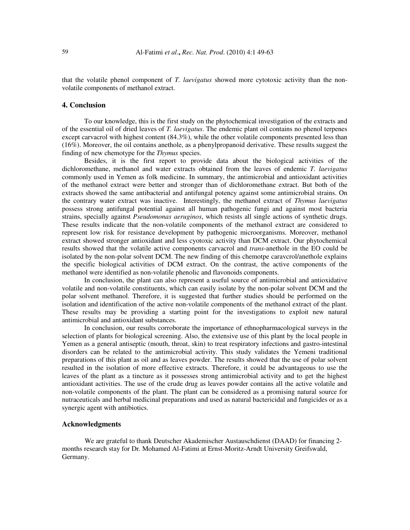that the volatile phenol component of *T. laevigatus* showed more cytotoxic activity than the nonvolatile components of methanol extract.

# **4. Conclusion**

To our knowledge, this is the first study on the phytochemical investigation of the extracts and of the essential oil of dried leaves of *T. laevigatus*. The endemic plant oil contains no phenol terpenes except carvacrol with highest content (84.3%), while the other volatile components presented less than (16%). Moreover, the oil contains anethole, as a phenylpropanoid derivative. These results suggest the finding of new chemotype for the *Thymus* species.

Besides, it is the first report to provide data about the biological activities of the dichloromethane, methanol and water extracts obtained from the leaves of endemic *T. laevigatus* commonly used in Yemen as folk medicine. In summary, the antimicrobial and antioxidant activities of the methanol extract were better and stronger than of dichloromethane extract. But both of the extracts showed the same antibacterial and antifungal potency against some antimicrobial strains. On the contrary water extract was inactive. Interestingly, the methanol extract of *Thymus laevigatus* possess strong antifungal potential against all human pathogenic fungi and against most bacteria strains, specially against *Pseudomonas aeruginos*, which resists all single actions of synthetic drugs. These results indicate that the non-volatile components of the methanol extract are considered to represent low risk for resistance development by pathogenic microorganisms. Moreover, methanol extract showed stronger antioxidant and less cyotoxic activity than DCM extract. Our phytochemical results showed that the volatile active components carvacrol and *trans*-anethole in the EO could be isolated by the non-polar solvent DCM. The new finding of this chemotpe caravcrol/anethole explains the specific biological activities of DCM extract. On the contrast, the active components of the methanol were identified as non-volatile phenolic and flavonoids components.

 In conclusion, the plant can also represent a useful source of antimicrobial and antioxidative volatile and non-volatile constituents, which can easily isolate by the non-polar solvent DCM and the polar solvent methanol. Therefore, it is suggested that further studies should be performed on the isolation and identification of the active non-volatile components of the methanol extract of the plant. These results may be providing a starting point for the investigations to exploit new natural antimicrobial and antioxidant substances.

 In conclusion, our results corroborate the importance of ethnopharmacological surveys in the selection of plants for biological screening. Also, the extensive use of this plant by the local people in Yemen as a general antiseptic (mouth, throat, skin) to treat respiratory infections and gastro-intestinal disorders can be related to the antimicrobial activity. This study validates the Yemeni traditional preparations of this plant as oil and as leaves powder. The results showed that the use of polar solvent resulted in the isolation of more effective extracts. Therefore, it could be advantageous to use the leaves of the plant as a tincture as it possesses strong antimicrobial activity and to get the highest antioxidant activities. The use of the crude drug as leaves powder contains all the active volatile and non-volatile components of the plant. The plant can be considered as a promising natural source for nutraceuticals and herbal medicinal preparations and used as natural bactericidal and fungicides or as a synergic agent with antibiotics.

#### **Acknowledgments**

We are grateful to thank Deutscher Akademischer Austauschdienst (DAAD) for financing 2 months research stay for Dr. Mohamed Al-Fatimi at Ernst-Moritz-Arndt University Greifswald, Germany.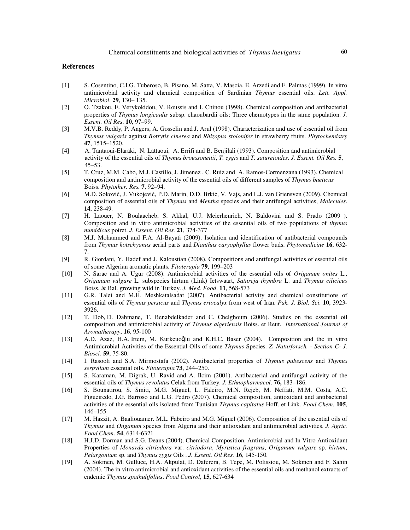## **References**

- [1] S. Cosentino, C.I.G. Tuberoso, B. Pisano, M. Satta, V. Mascia, E. Arzedi and F. Palmas (1999). In vitro antimicrobial activity and chemical composition of Sardinian *Thymus* essential oils. *Lett. Appl. Microbiol*. **29**, 130– 135.
- [2] O. Tzakou, E. Verykokidou, V. Roussis and I. Chinou (1998). Chemical composition and antibacterial properties of *Thymus longicaulis* subsp. chaoubardii oils: Three chemotypes in the same population. *J. Essent. Oil Res*. **10**, 97–99.
- [3] M.V.B. Reddy, P. Angers, A. Gosselin and J. Arul (1998). Characterization and use of essential oil from *Thymus vulgaris* against *Botrytis cinerea* and *Rhizopus stolonifer* in strawberry fruits. *Phytochemistry* **47**, 1515–1520.
- [4] A. Tantaoui-Elaraki, N. Lattaoui, A. Errifi and B. Benjilali (1993). Composition and antimicrobial activity of the essential oils of *Thymus broussonettii*, *T. zygis* and *T. satureioides*. *J. Essent. Oil Res.* **5**, 45–53.
- [5] T. Cruz, M.M. Cabo, M.J. Castillo, J. Jimenez , C. Ruiz and A. Ramos-Cormenzana (1993). Chemical composition and antimicrobial activity of the essential oils of different samples of *Thymus baeticus*  Boiss. *Phytother. Res.* **7**, 92–94.
- [6] M.D. Soković, J. Vukojević, P.D. Marin, D.D. Brkić, V. Vajs, and L.J. van Griensven (2009). Chemical composition of essential oils of *Thymus* and *Mentha* species and their antifungal activities, *Molecules*. **14**, 238-49.
- [7] H. Laouer, N. Boulaacheb, S. Akkal, U.J. Meierhenrich, N. Baldovini and S. Prado (2009 ). Composition and in vitro antimicrobial activities of the essential oils of two populations of *thymus numidicus* poiret. *J. Essent. Oil Res.* **21**, 374-377
- [8] M.J. Mohammed and F.A. Al-Bayati (2009). Isolation and identification of antibacterial compounds from *Thymus kotschyanus* aerial parts and *Dianthus caryophyllus* flower buds. *Phytomedicine* **16**, 632- 7.
- [9] R. Giordani, Y. Hadef and J. Kaloustian (2008). Compositions and antifungal activities of essential oils of some Algerian aromatic plants. *Fitoterapia* **79**, 199–203
- [10] N. Sarac and A. Ugur (2008). Antimicrobial activities of the essential oils of *Origanum onites* L., *Origanum vulgare* L. subspecies hirtum (Link) Ietswaart, *Satureja thymbra* L. and *Thymus cilicicus* Boiss. & Bal. growing wild in Turkey. *J. Med. Food*. **11**, 568-573
- [11] G.R. Talei and M.H. Meshkatalsadat (2007). Antibacterial activity and chemical constitutions of essential oils of *Thymus persicus* and *Thymus eriocalyx* from west of Iran. *Pak. J. Biol. Sci*. **10**, 3923- 3926.
- [12] T. Dob, D. Dahmane, T. Benabdelkader and C. Chelghoum (2006). Studies on the essential oil composition and antimicrobial activity of *Thymus algeriensis* Boiss. et Reut. *International Journal of Aromatherapy*, **16**, 95-100
- [13] A.D. Azaz, H.A. Irtem, M. Kurkcuoǧlu and K.H.C. Baser (2004). Composition and the in vitro Antimicrobial Activities of the Essential Oils of some *Thymus* Species. *Z. Naturforsch. - Section C- J. Biosci.* **59**, 75-80.
- [14] I. Rasooli and S.A. Mirmostafa (2002). Antibacterial properties of *Thymus pubescens* and *Thymus serpyllum* essential oils. *Fitoterapia* **73**, 244–250.
- [15] S. Karaman, M. Digrak, U. Ravid and A. Ilcim (2001). Antibacterial and antifungal activity of the essential oils of *Thymus revolutus* Celak from Turkey. *J. Ethnopharmacol*. **76,** 183–186.
- [16] S. Bounatirou, S. Smiti, M.G. Miguel, L. Faleiro, M.N. Rejeb, M. Neffati, M.M. Costa, A.C. Figueiredo, J.G. Barroso and L.G. Pedro (2007). Chemical composition, antioxidant and antibacterial activities of the essential oils isolated from Tunisian *Thymus capitatus* Hoff. et Link. *Food Chem*. **105**, 146–155
- [17] M. Hazzit, A. Baaliouamer. M.L. Fabeiro and M.G. Miguel (2006). Composition of the essential oils of *Thymus* and *Onganum* species from Algeria and their antioxidant and antimicrobial activities. *J. Agric. Food Chem*. **54**, 6314-6321
- [18] H.J.D. Dorman and S.G. Deans (2004). Chemical Composition, Antimicrobial and In Vitro Antioxidant Properties of *Monarda citriodora* var. *citriodora*, *Myristica fragrans*, *Origanum vulgare* sp. *hirtum*, *Pelargonium* sp. and *Thymus zygis* Oils . *J. Essent. Oil Res.* **16**, 145-150.
- [19] A. Sokmen, M. Gulluce, H.A. Akpulat, D. Daferera, B. Tepe, M. Polissiou, M. Sokmen and F. Sahin (2004). The in vitro antimicrobial and antioxidant activities of the essential oils and methanol extracts of endemic *Thymus spathulifolius*. *Food Control*, **15,** 627-634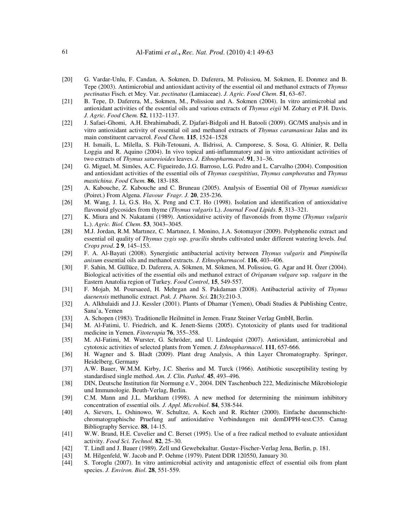- [20] G. Vardar-Unlu, F. Candan, A. Sokmen, D. Daferera, M. Polissiou, M. Sokmen, E. Donmez and B. Tepe (2003). Antimicrobial and antioxidant activity of the essential oil and methanol extracts of *Thymus pectinatus* Fisch. et Mey. Var. *pectinatus* (Lamiaceae). *J. Agric. Food Chem*. **51**, 63–67.
- [21] B. Tepe, D. Daferera, M., Sokmen, M., Polissiou and A. Sokmen (2004). In vitro antimicrobial and antioxidant activities of the essential oils and various extracts of *Thymus eigii* M. Zohary et P.H. Davis. *J. Agric. Food Chem.* **52**, 1132–1137.
- [22] J. Safaei-Ghomi, A.H. Ebrahimabadi, Z. Djafari-Bidgoli and H. Batooli (2009). GC/MS analysis and in vitro antioxidant activity of essential oil and methanol extracts of *Thymus caramanicus* Jalas and its main constituent carvacrol. *Food Chem.* **115**, 1524–1528
- [23] H. Ismaili, L. Milella, S. Fkih-Tetouani, A. Ilidrissi, A. Camporese, S. Sosa, G. Altinier, R. Della Loggia and R. Aquino (2004). In vivo topical anti-inflammatory and in vitro antioxidant activities of two extracts of *Thymus satureioides* leaves. *J. Ethnopharmacol*. **91**, 31–36.
- [24] G. Miguel, M. Simões, A.C. Figueiredo, J.G. Barroso, L.G. Pedro and L. Carvalho (2004). Composition and antioxidant activities of the essential oils of *Thymus caespititius*, *Thymus camphoratus* and *Thymus mastichina*. *Food Chem.* **86**, 183-188.
- [25] A. Kabouche, Z. Kabouche and C. Bruneau (2005). Analysis of Essential Oil of *Thymus numidicus* (Poiret.) From Algena. *Flavour Fragr. J.* **20**, 235-236.
- [26] M. Wang, J. Li, G.S. Ho, X. Peng and C.T. Ho (1998). Isolation and identification of antioxidative flavonoid glycosides from thyme (*Thymus vulgaris* L). *Journal Food Lipids*. **5**, 313–321.
- [27] K. Miura and N. Nakatami (1989). Antioxidative activity of flavonoids from thyme (*Thymus vulgaris*  L.). *Agric. Biol. Chem*. **53**, 3043–3045.
- [28] M.J. Jordan, R.M. Martınez, C. Martınez, I. Monino, J.A. Sotomayor (2009). Polyphenolic extract and essential oil quality of *Thymus zygis* ssp. *gracilis* shrubs cultivated under different watering levels. *Ind. Crops prod*. **2 9**, 145–153.
- [29] F. A. Al-Bayati (2008). Synergistic antibacterial activity between *Thymus vulgaris* and *Pimpinella anisum* essential oils and methanol extracts. *J. Ethnopharmacol*. **116**, 403–406.
- [30] F. Sahin, M. Güllüce, D. Daferera, A. Sökmen, M. Sökmen, M. Polissiou, G. Agar and H. Özer (2004). Biological activities of the essential oils and methanol extract of *Origanum vulgare* ssp. *vulgare* in the Eastern Anatolia region of Turkey. *Food Control*, **15**, 549-557.
- [31] F. Mojab, M. Poursaeed, H. Mehrgan and S. Pakdaman (2008). Antibacterial activity of *Thymus daenensis* methanolic extract. *Pak. J. Pharm. Sci*. **21**(3):210-3.
- [32] A. Alkhulaidi and J.J. Kessler (2001). Plants of Dhamar (Yemen), Obadi Studies & Publishing Centre, Sana'a, Yemen
- [33] A. Schopen (1983). Traditionelle Heilmittel in Jemen. Franz Steiner Verlag GmbH, Berlin.
- [34] M. Al-Fatimi, U. Friedrich, and K. Jenett-Siems (2005). Cytotoxicity of plants used for traditional medicine in Yemen. *Fitoterapia* **76**, 355–358.
- [35] M. Al-Fatimi, M. Wurster, G. Schröder, and U. Lindequist (2007). Antioxidant, antimicrobial and cytotoxic activities of selected plants from Yemen. *J. Ethnopharmacol*. **111**, 657-666.
- [36] H. Wagner and S. Bladt (2009). Plant drug Analysis, A thin Layer Chromatography. Springer, Heidelberg, Germany
- [37] A.W. Bauer, W.M.M. Kirby, J.C. Sheriss and M. Turck (1966). Antibiotic susceptibility testing by standardised single method. *Am. J. Clin. Pathol*. **45**, 493–496.
- [38] DIN, Deutsche Institution für Normung e.V., 2004. DIN Taschenbuch 222, Medizinische Mikrobiologie und Immunologie. Beuth-Verlag, Berlin.
- [39] C.M. Mann and J.L. Markham (1998). A new method for determining the minimum inhibitory concentration of essential oils. *J. Appl. Microbiol*. **84**, 538-544.
- [40] A. Sievers, L. Oshinowo, W. Schultze, A. Koch and R. Richter (2000). Einfache dueunnschichtchromatographische Pruefung auf antioxidative Verbindungen mit demDPPH-test.C35. Camag Bibliography Service. **88**, 14-15.
- [41] W.W. Brand, H.E. Cuvelier and C. Berset (1995). Use of a free radical method to evaluate antioxidant activity. *Food Sci. Technol.* **82**, 25–30.
- [42] T. Lindl and J. Bauer (1989). Zell und Gewebekultur. Gustav-Fischer-Verlag Jena, Berlin, p. 181.
- [43] M. Hilgenfeld, W. Jacob and P. Oehme (1979). Patent DDR 120550, January 30.
- [44] S. Toroglu (2007). In vitro antimicrobial activity and antagonistic effect of essential oils from plant species. *J. Environ. Biol*. **28**, 551-559.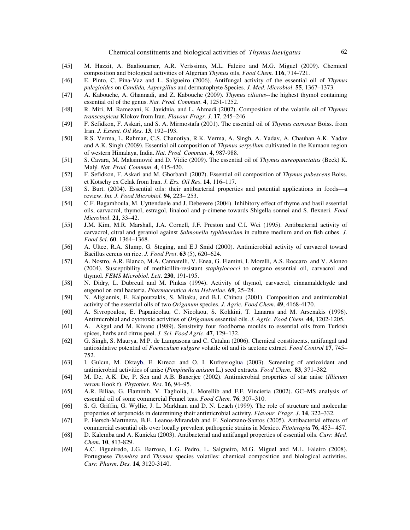- [45] M. Hazzit, A. Baaliouamer, A.R. Veríssimo, M.L. Faleiro and M.G. Miguel (2009). Chemical composition and biological activities of Algerian *Thymus* oils, *Food Chem.* **116**, 714-721.
- [46] E. Pinto, C. Pina-Vaz and L. Salgueiro (2006). Antifungal activity of the essential oil of *Thymus pulegioides* on *Candida, Aspergillus* and dermatophyte Species. *J. Med. Microbiol*. **55**, 1367–1373.
- [47] A. Kabouche, A. Ghannadi, and Z. Kabouche (2009). *Thymus ciliatus*--the highest thymol containing essential oil of the genus. *Nat. Prod. Commun*. **4**, 1251-1252.
- [48] R. Miri, M. Ramezani, K. Javidnia, and L. Ahmadi (2002). Composition of the volatile oil of *Thymus transcaspicus* Klokov from Iran. *Flavour Fragr. J*. **17**, 245–246
- [49] F. Sefidkon, F. Askari, and S. A. Mirmostafa (2001). The essential oil of *Thymus carnosus* Boiss. from Iran. *J. Essent. Oil Res*. **13**, 192–193.
- [50] R.S. Verma, L. Rahman, C.S. Chanotiya, R.K. Verma, A. Singh, A. Yadav, A. Chauhan A.K. Yadav and A.K. Singh (2009). Essential oil composition of *Thymus serpyllum* cultivated in the Kumaon region of western Himalaya, India. *Nat. Prod. Commun*. **4**, 987-988.
- [51] S. Cavara, M. Maksimović and D. Vidic (2009). The essential oil of *Thymus aureopunctatus* (Beck) K. Malý. *Nat. Prod. Commun*. **4**, 415-420.
- [52] F. Sefidkon, F. Askari and M. Ghorbanli (2002). Essential oil composition of *Thymus pubescens* Boiss. et Kotschy ex Celak from Iran. *J. Ess. Oil Res*. **14**, 116–117.
- [53] S. Burt. (2004). Essential oils: their antibacterial properties and potential applications in foods—a review. *Int. J. Food Microbiol.* **94**, 223– 253.
- [54] C.F. Bagamboula, M. Uyttendaele and J. Debevere (2004). Inhibitory effect of thyme and basil essential oils, carvacrol, thymol, estragol, linalool and p-cimene towards Shigella sonnei and S. flexneri. *Food Microbiol*. **21**, 33–42.
- [55] J.M. Kim, M.R. Marshall, J.A. Cornell, J.F. Preston and C.I. Wei (1995). Antibacterial activity of carvacrol, citral and geraniol against *Salmonella typhimurium* in culture medium and on fish cubes. *J. Food Sci*. **60**, 1364–1368.
- [56] A. Ultee, R.A. Slump, G. Steging, and E.J Smid (2000). Antimicrobial activity of carvacrol toward Bacillus cereus on rice. *J. Food Prot*. **63** (5), 620–624.
- [57] A. Nostro, A.R. Blanco, M.A. Cannatelli, V. Enea, G. Flamini, I. Morelli, A.S. Roccaro and V. Alonzo (2004). Susceptibility of methicillin-resistant *staphylococci* to oregano essential oil, carvacrol and thymol. *FEMS Microbiol. Lett*. **230**, 191-195.
- [58] N. Didry, L. Dubreuil and M. Pinkas (1994). Activity of thymol, carvacrol, cinnamaldehyde and eugenol on oral bacteria. *Pharmaceutica Acta Helvetiae*. **69**, 25–28.
- [59] N. Aligiannis, E. Kalpoutzakis, S. Mitaku, and B.I. Chinou (2001). Composition and antimicrobial activity of the essential oils of two *Origanum* species. *J. Agric. Food Chem*. **49**, 4168-4170.
- [60] A. Sivropoulou, E. Papanicolau, C. Nicolaou, S. Kokkini, T. Lanaras and M. Arsenakis (1996). Antimicrobial and cytotoxic activities of *Origanum* essential oils. *J. Agric. Food Chem*. **44**, 1202-1205.
- [61] A. Akgul and M. Kivanc (1989). Sensitvity four foodborne moulds to essential oils from Turkish spices, herbs and citrus peel. *J. Sci. Food Agric*. **47**, 129–132.
- [62] G. Singh, S. Maurya, M.P. de Lampasona and C. Catalan (2006). Chemical constituents, antifungal and antioxidative potential of *Foeniculum vulgare* volatile oil and its acetone extract. *Food Control* **17**, 745– 752.
- [63] I. Gulcın, M. Oktayb, E. Kıreccı and O. I. Kufrevıoglua (2003). Screening of antioxidant and antimicrobial activities of anise (*Pimpinella anisum* L.) seed extracts. *Food Chem.* **83**, 371–382.
- [64] M. De, A.K. De, P. Sen and A.B. Banerjee (2002). Antimicrobial properties of star anise (*Illicium verum* Hook f). *Phytother. Res*. **16**, 94–95.
- [65] A.R. Biliaa, G. Flaminib, V. Tagliolia, I. Morellib and F.F. Vincieria (2002). GC–MS analysis of essential oil of some commercial Fennel teas. *Food Chem.* **76**, 307–310.
- [66] S. G. Griffin, G. Wyllie, J. L. Markham and D. N. Leach (1999). The role of structure and molecular properties of terpenoids in determining their antimicrobial activity. *Flavour Fragr. J*. **14**, 322–332.
- [67] P. Hersch-Martıneza, B.E. Leanos-Mirandab and F. Solorzano-Santos (2005). Antibacterial effects of commercial essential oils over locally prevalent pathogenic strains in Mexico. *Fitoterapia* **76**, 453– 457.
- [68] D. Kalemba and A. Kunicka (2003). Antibacterial and antifungal properties of essential oils. *Curr. Med. Chem*. **10**, 813-829.
- [69] A.C. Figueiredo, J.G. Barroso, L.G. Pedro, L. Salgueiro, M.G. Miguel and M.L. Faleiro (2008). Portuguese *Thymbra* and *Thymus* species volatiles: chemical composition and biological activities. *Curr. Pharm*. *Des.* **14**, 3120-3140.